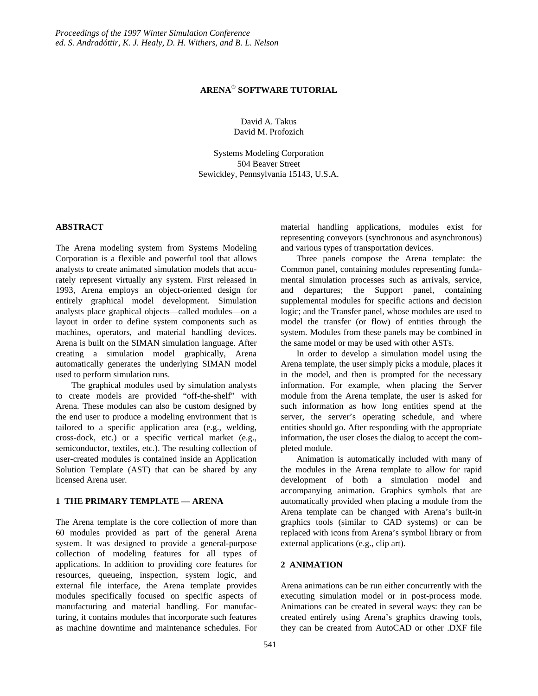# **ARENA**® **SOFTWARE TUTORIAL**

David A. Takus David M. Profozich

Systems Modeling Corporation 504 Beaver Street Sewickley, Pennsylvania 15143, U.S.A.

#### **ABSTRACT**

The Arena modeling system from Systems Modeling Corporation is a flexible and powerful tool that allows analysts to create animated simulation models that accurately represent virtually any system. First released in 1993, Arena employs an object-oriented design for entirely graphical model development. Simulation analysts place graphical objects—called modules—on a layout in order to define system components such as machines, operators, and material handling devices. Arena is built on the SIMAN simulation language. After creating a simulation model graphically, Arena automatically generates the underlying SIMAN model used to perform simulation runs.

The graphical modules used by simulation analysts to create models are provided "off-the-shelf" with Arena. These modules can also be custom designed by the end user to produce a modeling environment that is tailored to a specific application area (e.g., welding, cross-dock, etc.) or a specific vertical market (e.g., semiconductor, textiles, etc.). The resulting collection of user-created modules is contained inside an Application Solution Template (AST) that can be shared by any licensed Arena user.

#### **1 THE PRIMARY TEMPLATE — ARENA**

The Arena template is the core collection of more than 60 modules provided as part of the general Arena system. It was designed to provide a general-purpose collection of modeling features for all types of applications. In addition to providing core features for resources, queueing, inspection, system logic, and external file interface, the Arena template provides modules specifically focused on specific aspects of manufacturing and material handling. For manufacturing, it contains modules that incorporate such features as machine downtime and maintenance schedules. For

material handling applications, modules exist for representing conveyors (synchronous and asynchronous) and various types of transportation devices.

Three panels compose the Arena template: the Common panel, containing modules representing fundamental simulation processes such as arrivals, service, and departures; the Support panel, containing supplemental modules for specific actions and decision logic; and the Transfer panel, whose modules are used to model the transfer (or flow) of entities through the system. Modules from these panels may be combined in the same model or may be used with other ASTs.

In order to develop a simulation model using the Arena template, the user simply picks a module, places it in the model, and then is prompted for the necessary information. For example, when placing the Server module from the Arena template, the user is asked for such information as how long entities spend at the server, the server's operating schedule, and where entities should go. After responding with the appropriate information, the user closes the dialog to accept the completed module.

Animation is automatically included with many of the modules in the Arena template to allow for rapid development of both a simulation model and accompanying animation. Graphics symbols that are automatically provided when placing a module from the Arena template can be changed with Arena's built-in graphics tools (similar to CAD systems) or can be replaced with icons from Arena's symbol library or from external applications (e.g., clip art).

# **2 ANIMATION**

Arena animations can be run either concurrently with the executing simulation model or in post-process mode. Animations can be created in several ways: they can be created entirely using Arena's graphics drawing tools, they can be created from AutoCAD or other .DXF file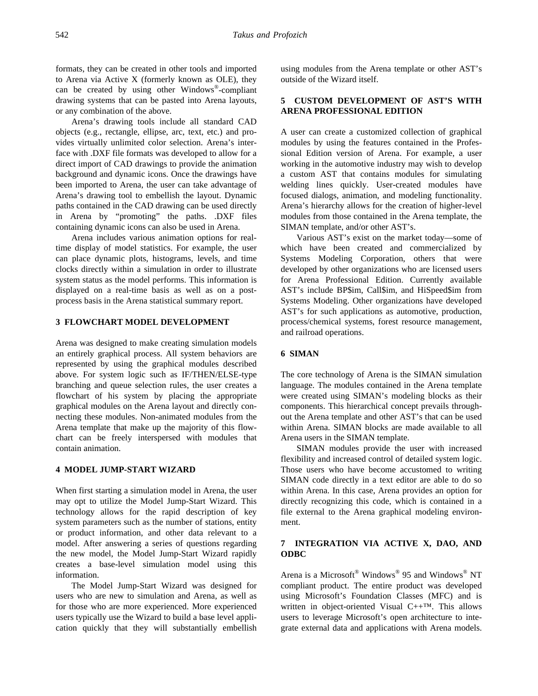formats, they can be created in other tools and imported to Arena via Active X (formerly known as OLE), they can be created by using other Windows®-compliant drawing systems that can be pasted into Arena layouts, or any combination of the above.

Arena's drawing tools include all standard CAD objects (e.g., rectangle, ellipse, arc, text, etc.) and provides virtually unlimited color selection. Arena's interface with .DXF file formats was developed to allow for a direct import of CAD drawings to provide the animation background and dynamic icons. Once the drawings have been imported to Arena, the user can take advantage of Arena's drawing tool to embellish the layout. Dynamic paths contained in the CAD drawing can be used directly in Arena by "promoting" the paths. .DXF files containing dynamic icons can also be used in Arena.

Arena includes various animation options for realtime display of model statistics. For example, the user can place dynamic plots, histograms, levels, and time clocks directly within a simulation in order to illustrate system status as the model performs. This information is displayed on a real-time basis as well as on a postprocess basis in the Arena statistical summary report.

#### **3 FLOWCHART MODEL DEVELOPMENT**

Arena was designed to make creating simulation models an entirely graphical process. All system behaviors are represented by using the graphical modules described above. For system logic such as IF/THEN/ELSE-type branching and queue selection rules, the user creates a flowchart of his system by placing the appropriate graphical modules on the Arena layout and directly connecting these modules. Non-animated modules from the Arena template that make up the majority of this flowchart can be freely interspersed with modules that contain animation.

### **4 MODEL JUMP-START WIZARD**

When first starting a simulation model in Arena, the user may opt to utilize the Model Jump-Start Wizard. This technology allows for the rapid description of key system parameters such as the number of stations, entity or product information, and other data relevant to a model. After answering a series of questions regarding the new model, the Model Jump-Start Wizard rapidly creates a base-level simulation model using this information.

The Model Jump-Start Wizard was designed for users who are new to simulation and Arena, as well as for those who are more experienced. More experienced users typically use the Wizard to build a base level application quickly that they will substantially embellish

using modules from the Arena template or other AST's outside of the Wizard itself.

# **5 CUSTOM DEVELOPMENT OF AST'S WITH ARENA PROFESSIONAL EDITION**

A user can create a customized collection of graphical modules by using the features contained in the Professional Edition version of Arena. For example, a user working in the automotive industry may wish to develop a custom AST that contains modules for simulating welding lines quickly. User-created modules have focused dialogs, animation, and modeling functionality. Arena's hierarchy allows for the creation of higher-level modules from those contained in the Arena template, the SIMAN template, and/or other AST's.

Various AST's exist on the market today—some of which have been created and commercialized by Systems Modeling Corporation, others that were developed by other organizations who are licensed users for Arena Professional Edition. Currently available AST's include BP\$im, Call\$im, and HiSpeed\$im from Systems Modeling. Other organizations have developed AST's for such applications as automotive, production, process/chemical systems, forest resource management, and railroad operations.

#### **6 SIMAN**

The core technology of Arena is the SIMAN simulation language. The modules contained in the Arena template were created using SIMAN's modeling blocks as their components. This hierarchical concept prevails throughout the Arena template and other AST's that can be used within Arena. SIMAN blocks are made available to all Arena users in the SIMAN template.

SIMAN modules provide the user with increased flexibility and increased control of detailed system logic. Those users who have become accustomed to writing SIMAN code directly in a text editor are able to do so within Arena. In this case, Arena provides an option for directly recognizing this code, which is contained in a file external to the Arena graphical modeling environment.

## **7 INTEGRATION VIA ACTIVE X, DAO, AND ODBC**

Arena is a Microsoft® Windows® 95 and Windows® NT compliant product. The entire product was developed using Microsoft's Foundation Classes (MFC) and is written in object-oriented Visual C++™. This allows users to leverage Microsoft's open architecture to integrate external data and applications with Arena models.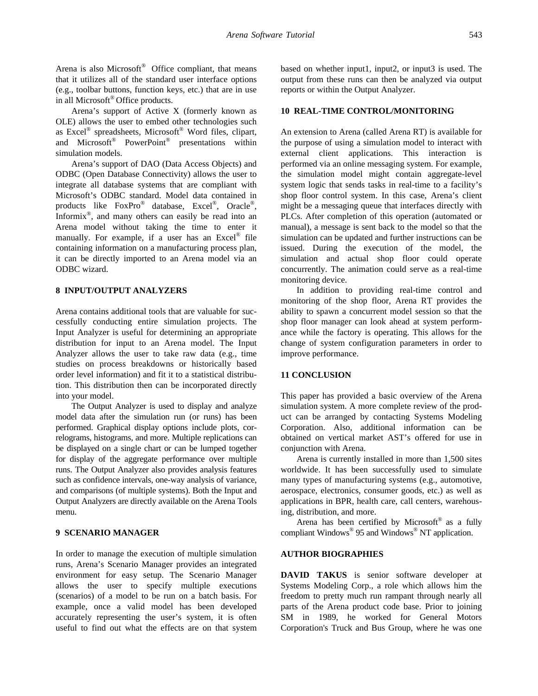in all Microsoft® Office products. Arena's support of Active X (formerly known as OLE) allows the user to embed other technologies such as Excel® spreadsheets, Microsoft® Word files, clipart, and Microsoft® PowerPoint® presentations within

simulation models. Arena's support of DAO (Data Access Objects) and ODBC (Open Database Connectivity) allows the user to integrate all database systems that are compliant with Microsoft's ODBC standard. Model data contained in products like FoxPro® database, Excel®, Oracle®, Informix®, and many others can easily be read into an Arena model without taking the time to enter it manually. For example, if a user has an  $\text{Excel}^{\circledast}$  file containing information on a manufacturing process plan, it can be directly imported to an Arena model via an ODBC wizard.

# **8 INPUT/OUTPUT ANALYZERS**

Arena contains additional tools that are valuable for successfully conducting entire simulation projects. The Input Analyzer is useful for determining an appropriate distribution for input to an Arena model. The Input Analyzer allows the user to take raw data (e.g., time studies on process breakdowns or historically based order level information) and fit it to a statistical distribution. This distribution then can be incorporated directly into your model.

The Output Analyzer is used to display and analyze model data after the simulation run (or runs) has been performed. Graphical display options include plots, correlograms, histograms, and more. Multiple replications can be displayed on a single chart or can be lumped together for display of the aggregate performance over multiple runs. The Output Analyzer also provides analysis features such as confidence intervals, one-way analysis of variance, and comparisons (of multiple systems). Both the Input and Output Analyzers are directly available on the Arena Tools menu.

## **9 SCENARIO MANAGER**

In order to manage the execution of multiple simulation runs, Arena's Scenario Manager provides an integrated environment for easy setup. The Scenario Manager allows the user to specify multiple executions (scenarios) of a model to be run on a batch basis. For example, once a valid model has been developed accurately representing the user's system, it is often useful to find out what the effects are on that system

based on whether input1, input2, or input3 is used. The output from these runs can then be analyzed via output reports or within the Output Analyzer.

# **10 REAL-TIME CONTROL/MONITORING**

An extension to Arena (called Arena RT) is available for the purpose of using a simulation model to interact with external client applications. This interaction is performed via an online messaging system. For example, the simulation model might contain aggregate-level system logic that sends tasks in real-time to a facility's shop floor control system. In this case, Arena's client might be a messaging queue that interfaces directly with PLCs. After completion of this operation (automated or manual), a message is sent back to the model so that the simulation can be updated and further instructions can be issued. During the execution of the model, the simulation and actual shop floor could operate concurrently. The animation could serve as a real-time monitoring device.

In addition to providing real-time control and monitoring of the shop floor, Arena RT provides the ability to spawn a concurrent model session so that the shop floor manager can look ahead at system performance while the factory is operating. This allows for the change of system configuration parameters in order to improve performance.

### **11 CONCLUSION**

This paper has provided a basic overview of the Arena simulation system. A more complete review of the product can be arranged by contacting Systems Modeling Corporation. Also, additional information can be obtained on vertical market AST's offered for use in conjunction with Arena.

Arena is currently installed in more than 1,500 sites worldwide. It has been successfully used to simulate many types of manufacturing systems (e.g., automotive, aerospace, electronics, consumer goods, etc.) as well as applications in BPR, health care, call centers, warehousing, distribution, and more.

Arena has been certified by Microsoft<sup>®</sup> as a fully compliant Windows® 95 and Windows® NT application.

### **AUTHOR BIOGRAPHIES**

**DAVID TAKUS** is senior software developer at Systems Modeling Corp., a role which allows him the freedom to pretty much run rampant through nearly all parts of the Arena product code base. Prior to joining SM in 1989, he worked for General Motors Corporation's Truck and Bus Group, where he was one